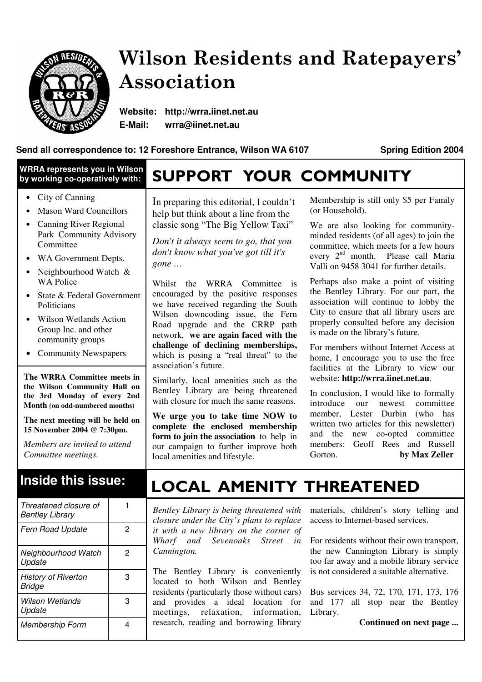

# Wilson Residents and Ratepayers' Association

**Website: http://wrra.iinet.net.au E-Mail: wrra@iinet.net.au**

#### **Send all correspondence to: 12 Foreshore Entrance, Wilson WA 6107 Spring Edition 2004**

#### **WRRA represents you in Wilson by working co-operatively with:**

- City of Canning
- Mason Ward Councillors
- Canning River Regional Park Community Advisory Committee
- WA Government Depts.
- Neighbourhood Watch & WA Police
- State & Federal Government Politicians
- Wilson Wetlands Action Group Inc. and other community groups
- Community Newspapers

**The WRRA Committee meets in the Wilson Community Hall on the 3rd Monday of every 2nd Month (on odd-numbered months)**

**The next meeting will be held on 15 November 2004 @ 7:30pm.**

*Members are invited to attend Committee meetings.*

## **Inside this issue:**

| Threatened closure of<br><b>Bentley Library</b> |   |  |
|-------------------------------------------------|---|--|
| Fern Road Update                                | 2 |  |
| Neighbourhood Watch<br>Update                   | 2 |  |
| <b>History of Riverton</b><br><b>Bridge</b>     | 3 |  |
| Wilson Wetlands<br>Update                       | 3 |  |
| Membership Form                                 |   |  |

# SUPPORT YOUR COMMUNITY

In preparing this editorial, I couldn't help but think about a line from the classic song "The Big Yellow Taxi"

*Don't it always seem to go, that you don't know what you've got till it's gone …*

Whilst the WRRA Committee is encouraged by the positive responses we have received regarding the South Wilson downcoding issue, the Fern Road upgrade and the CRRP path network, **we are again faced with the challenge of declining memberships,** which is posing a "real threat" to the association's future.

Similarly, local amenities such as the Bentley Library are being threatened with closure for much the same reasons.

**We urge you to take time NOW to complete the enclosed membership form to join the association** to help in our campaign to further improve both local amenities and lifestyle.

Membership is still only \$5 per Family (or Household).

We are also looking for communityminded residents (of all ages) to join the committee, which meets for a few hours every 2<sup>nd</sup> month. Please call Maria Valli on 9458 3041 for further details.

Perhaps also make a point of visiting the Bentley Library. For our part, the association will continue to lobby the City to ensure that all library users are properly consulted before any decision is made on the library's future.

For members without Internet Access at home, I encourage you to use the free facilities at the Library to view our website: **http://wrra.iinet.net.au**.

In conclusion, I would like to formally introduce our newest committee member, Lester Durbin (who has written two articles for this newsletter) and the new co-opted committee members: Geoff Rees and Russell Gorton. **by Max Zeller**

# **LOCAL AMENITY THREATENED**

*Bentley Library is being threatened with closure under the City's plans to replace it with a new library on the corner of Wharf and Sevenoaks Street in Cannington.*

The Bentley Library is conveniently located to both Wilson and Bentley residents (particularly those without cars) and provides a ideal location for meetings, relaxation, information, research, reading and borrowing library

materials, children's story telling and access to Internet-based services.

For residents without their own transport, the new Cannington Library is simply too far away and a mobile library service is not considered a suitable alternative.

Bus services 34, 72, 170, 171, 173, 176 and 177 all stop near the Bentley Library.

**Continued on next page ...**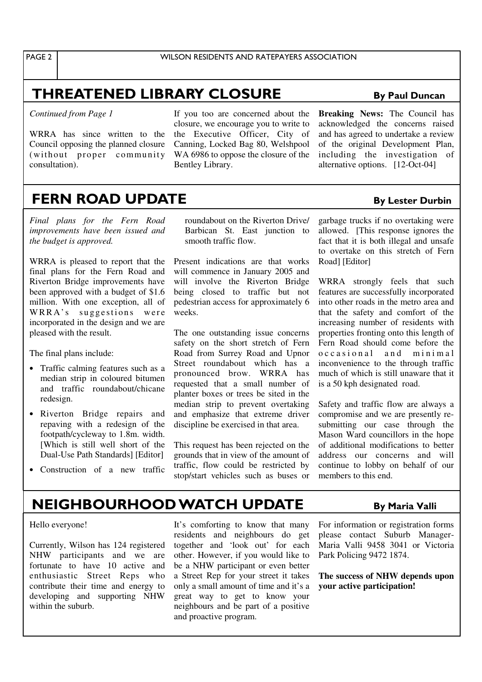### THREATENED LIBRARY CLOSURE

#### *Continued from Page 1*

WRRA has since written to the Council opposing the planned closure (without proper community consultation).

If you too are concerned about the closure, we encourage you to write to the Executive Officer, City of Canning, Locked Bag 80, Welshpool WA 6986 to oppose the closure of the Bentley Library.

**Breaking News:** The Council has acknowledged the concerns raised and has agreed to undertake a review of the original Development Plan, including the investigation of alternative options. [12-Oct-04]

### FERN ROAD UPDATE

*Final plans for the Fern Road improvements have been issued and the budget is approved.*

WRRA is pleased to report that the final plans for the Fern Road and Riverton Bridge improvements have been approved with a budget of \$1.6 million. With one exception, all of WRRA's suggestions were incorporated in the design and we are pleased with the result.

The final plans include:

- Traffic calming features such as a median strip in coloured bitumen and traffic roundabout/chicane redesign.
- Riverton Bridge repairs and repaving with a redesign of the footpath/cycleway to 1.8m. width. [Which is still well short of the Dual-Use Path Standards] [Editor]
- Construction of a new traffic

roundabout on the Riverton Drive/ Barbican St. East junction to smooth traffic flow.

Present indications are that works will commence in January 2005 and will involve the Riverton Bridge being closed to traffic but not pedestrian access for approximately 6 weeks.

The one outstanding issue concerns safety on the short stretch of Fern Road from Surrey Road and Upnor Street roundabout which has a pronounced brow. WRRA has requested that a small number of planter boxes or trees be sited in the median strip to prevent overtaking and emphasize that extreme driver discipline be exercised in that area.

This request has been rejected on the grounds that in view of the amount of traffic, flow could be restricted by stop/start vehicles such as buses or garbage trucks if no overtaking were allowed. [This response ignores the fact that it is both illegal and unsafe to overtake on this stretch of Fern Road] [Editor]

WRRA strongly feels that such features are successfully incorporated into other roads in the metro area and that the safety and comfort of the increasing number of residents with properties fronting onto this length of Fern Road should come before the occasional and minimal inconvenience to the through traffic much of which is still unaware that it is a 50 kph designated road.

Safety and traffic flow are always a compromise and we are presently resubmitting our case through the Mason Ward councillors in the hope of additional modifications to better address our concerns and will continue to lobby on behalf of our members to this end.

### <u>NEIGHBOURHOOD WATCH UPDATE</u>

#### By Maria Valli

Hello everyone!

Currently, Wilson has 124 registered NHW participants and we are fortunate to have 10 active and enthusiastic Street Reps who contribute their time and energy to developing and supporting NHW within the suburb.

It's comforting to know that many residents and neighbours do get together and 'look out' for each other. However, if you would like to be a NHW participant or even better a Street Rep for your street it takes only a small amount of time and it's a great way to get to know your neighbours and be part of a positive and proactive program.

For information or registration forms please contact Suburb Manager-Maria Valli 9458 3041 or Victoria Park Policing 9472 1874.

**The success of NHW depends upon your active participation!**

#### **Example 18 State By Paul Duncan**

**By Lester Durbin**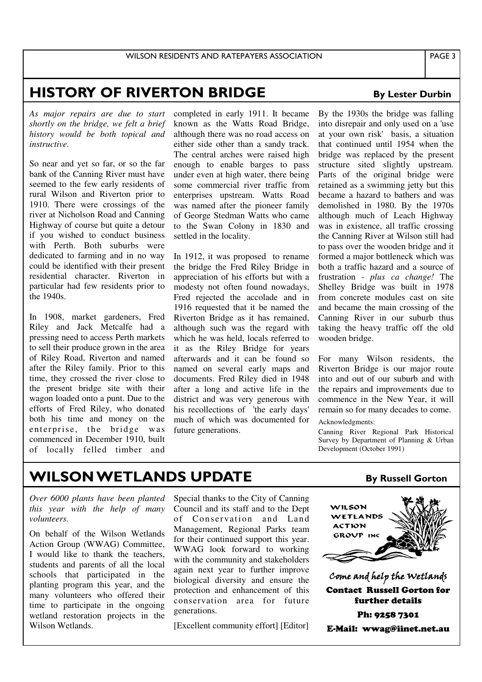### HISTORY OF RIVERTON BRI

*As major repairs are due to start shortly on the bridge, we felt a brief history would be both topical and instructive.*

So near and yet so far, or so the far bank of the Canning River must have seemed to the few early residents of rural Wilson and Riverton prior to 1910. There were crossings of the river at Nicholson Road and Canning Highway of course but quite a detour if you wished to conduct business with Perth. Both suburbs were dedicated to farming and in no way could be identified with their present residential character. Riverton in particular had few residents prior to the 1940s.

In 1908, market gardeners, Fred Riley and Jack Metcalfe had a pressing need to access Perth markets to sell their produce grown in the area of Riley Road, Riverton and named after the Riley family. Prior to this time, they crossed the river close to the present bridge site with their wagon loaded onto a punt. Due to the efforts of Fred Riley, who donated both his time and money on the enterprise, the bridge was commenced in December 1910, built of locally felled timber and

completed in early 1911. It became known as the Watts Road Bridge, although there was no road access on either side other than a sandy track. The central arches were raised high enough to enable barges to pass under even at high water, there being some commercial river traffic from enterprises upstream. Watts Road was named after the pioneer family of George Stedman Watts who came to the Swan Colony in 1830 and settled in the locality.

In 1912, it was proposed to rename the bridge the Fred Riley Bridge in appreciation of his efforts but with a modesty not often found nowadays, Fred rejected the accolade and in 1916 requested that it be named the Riverton Bridge as it has remained, although such was the regard with which he was held, locals referred to it as the Riley Bridge for years afterwards and it can be found so named on several early maps and documents. Fred Riley died in 1948 after a long and active life in the district and was very generous with his recollections of 'the early days' much of which was documented for future generations.

#### By the 1930s the bridge was falling into disrepair and only used on a 'use at your own risk' basis, a situation that continued until 1954 when the bridge was replaced by the present structure sited slightly upstream. Parts of the original bridge were retained as a swimming jetty but this became a hazard to bathers and was demolished in 1980. By the 1970s although much of Leach Highway was in existence, all traffic crossing the Canning River at Wilson still had to pass over the wooden bridge and it formed a major bottleneck which was both a traffic hazard and a source of frustration - *plus ca change!* The Shelley Bridge was built in 1978 from concrete modules cast on site and became the main crossing of the Canning River in our suburb thus taking the heavy traffic off the old wooden bridge.

For many Wilson residents, the Riverton Bridge is our major route into and out of our suburb and with the repairs and improvements due to commence in the New Year, it will remain so for many decades to come.

Acknowledgments:

Canning River Regional Park Historical Survey by Department of Planning & Urban Development (October 1991)

### **WILSON WETLANDS UPDATE** By Russell Gorton

*Over 6000 plants have been planted this year with the help of many volunteers.*

On behalf of the Wilson Wetlands Action Group (WWAG) Committee, I would like to thank the teachers, students and parents of all the local schools that participated in the planting program this year, and the many volunteers who offered their time to participate in the ongoing wetland restoration projects in the Wilson Wetlands.

Special thanks to the City of Canning Council and its staff and to the Dept of Conservation and Land Management, Regional Parks team for their continued support this year. WWAG look forward to working with the community and stakeholders again next year to further improve biological diversity and ensure the protection and enhancement of this conservation area for future generations.

[Excellent community effort] [Editor]



#### **By Lester Durbin**